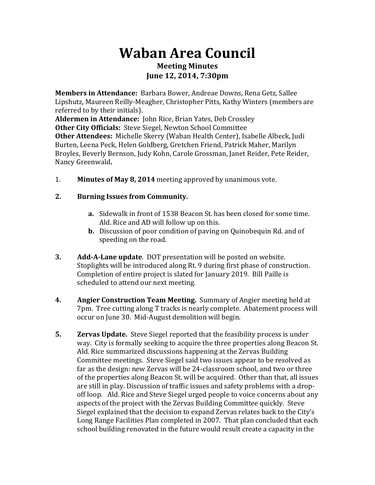## **Waban Area Council Meeting Minutes June 12, 2014, 7:30pm**

**Members in Attendance:** Barbara Bower, Andreae Downs, Rena Getz, Sallee Lipshutz, Maureen Reilly-Meagher, Christopher Pitts, Kathy Winters (members are referred to by their initials).

**Aldermen in Attendance:** John Rice, Brian Yates, Deb Crossley **Other City Officials: Steve Siegel, Newton School Committee Other Attendees:** Michelle Skerry (Waban Health Center), Isabelle Albeck, Judi Burten, Leena Peck, Helen Goldberg, Gretchen Friend, Patrick Maher, Marilyn Broyles, Beverly Bernson, Judy Kohn, Carole Grossman, Janet Reider, Pete Reider, Nancy Greenwald**.**

1. **Minutes of May 8, 2014** meeting approved by unanimous vote.

## **2.** Burning Issues from Community.

- **a.** Sidewalk in front of 1538 Beacon St. has been closed for some time. Ald. Rice and AD will follow up on this.
- **b.** Discussion of poor condition of paving on Quinobequin Rd. and of speeding on the road.
- **3. Add-A-Lane update**. DOT presentation will be posted on website. Stoplights will be introduced along Rt. 9 during first phase of construction. Completion of entire project is slated for January 2019. Bill Paille is scheduled to attend our next meeting.
- **4. Angier Construction Team Meeting.** Summary of Angier meeting held at 7pm. Tree cutting along T tracks is nearly complete. Abatement process will occur on June 30. Mid-August demolition will begin.
- **5. Zervas Update.** Steve Siegel reported that the feasibility process is under way. City is formally seeking to acquire the three properties along Beacon St. Ald. Rice summarized discussions happening at the Zervas Building Committee meetings. Steve Siegel said two issues appear to be resolved as far as the design: new Zervas will be 24-classroom school, and two or three of the properties along Beacon St. will be acquired. Other than that, all issues are still in play. Discussion of traffic issues and safety problems with a dropoff loop. Ald. Rice and Steve Siegel urged people to voice concerns about any aspects of the project with the Zervas Building Committee quickly. Steve Siegel explained that the decision to expand Zervas relates back to the City's Long Range Facilities Plan completed in 2007. That plan concluded that each school building renovated in the future would result create a capacity in the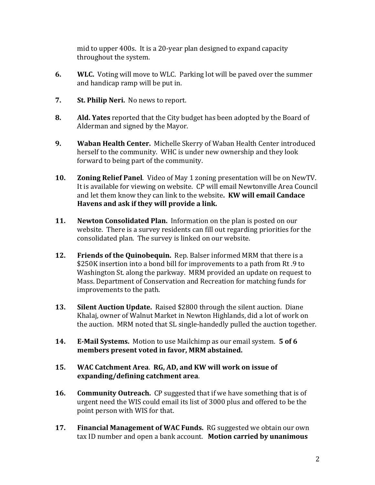mid to upper 400s. It is a 20-year plan designed to expand capacity throughout the system.

- **6. WLC.** Voting will move to WLC. Parking lot will be paved over the summer and handicap ramp will be put in.
- **7.** St. Philip Neri. No news to report.
- **8. Ald. Yates** reported that the City budget has been adopted by the Board of Alderman and signed by the Mayor.
- **9. Waban Health Center.** Michelle Skerry of Waban Health Center introduced herself to the community. WHC is under new ownership and they look forward to being part of the community.
- **10. Zoning Relief Panel**. Video of May 1 zoning presentation will be on NewTV. It is available for viewing on website. CP will email Newtonville Area Council and let them know they can link to the website. **KW will email Candace** Havens and ask if they will provide a link.
- **11.** Newton Consolidated Plan. Information on the plan is posted on our website. There is a survey residents can fill out regarding priorities for the consolidated plan. The survey is linked on our website.
- **12. Friends of the Quinobequin.** Rep. Balser informed MRM that there is a \$250K insertion into a bond bill for improvements to a path from Rt.9 to Washington St. along the parkway. MRM provided an update on request to Mass. Department of Conservation and Recreation for matching funds for improvements to the path.
- **13.** Silent Auction Update. Raised \$2800 through the silent auction. Diane Khalaj, owner of Walnut Market in Newton Highlands, did a lot of work on the auction. MRM noted that SL single-handedly pulled the auction together.
- **14. E-Mail Systems.** Motion to use Mailchimp as our email system. **5** of 6 members present voted in favor, MRM abstained.
- 15. WAC Catchment Area. RG, AD, and KW will work on issue of expanding/defining catchment area.
- **16. Community Outreach.** CP suggested that if we have something that is of urgent need the WIS could email its list of 3000 plus and offered to be the point person with WIS for that.
- **17.** Financial Management of WAC Funds. RG suggested we obtain our own tax ID number and open a bank account. Motion carried by unanimous